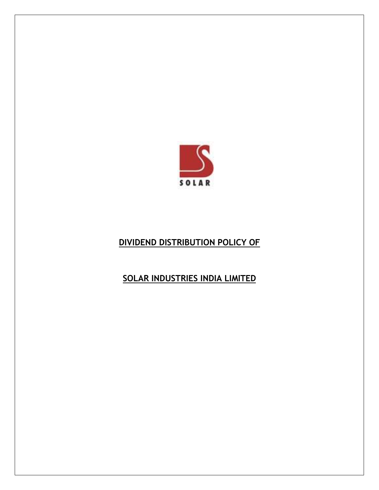

# **DIVIDEND DISTRIBUTION POLICY OF**

## **SOLAR INDUSTRIES INDIA LIMITED**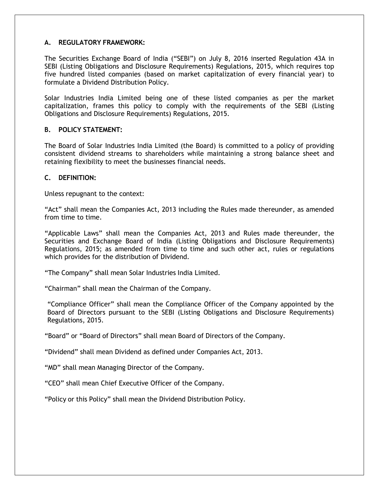### **A. REGULATORY FRAMEWORK:**

The Securities Exchange Board of India ("SEBI") on July 8, 2016 inserted Regulation 43A in SEBI (Listing Obligations and Disclosure Requirements) Regulations, 2015, which requires top five hundred listed companies (based on market capitalization of every financial year) to formulate a Dividend Distribution Policy.

Solar Industries India Limited being one of these listed companies as per the market capitalization, frames this policy to comply with the requirements of the SEBI (Listing Obligations and Disclosure Requirements) Regulations, 2015.

#### **B. POLICY STATEMENT:**

The Board of Solar Industries India Limited (the Board) is committed to a policy of providing consistent dividend streams to shareholders while maintaining a strong balance sheet and retaining flexibility to meet the businesses financial needs.

#### **C. DEFINITION:**

Unless repugnant to the context:

"Act" shall mean the Companies Act, 2013 including the Rules made thereunder, as amended from time to time.

"Applicable Laws" shall mean the Companies Act, 2013 and Rules made thereunder, the Securities and Exchange Board of India (Listing Obligations and Disclosure Requirements) Regulations, 2015; as amended from time to time and such other act, rules or regulations which provides for the distribution of Dividend.

"The Company" shall mean Solar Industries India Limited.

"Chairman" shall mean the Chairman of the Company.

"Compliance Officer" shall mean the Compliance Officer of the Company appointed by the Board of Directors pursuant to the SEBI (Listing Obligations and Disclosure Requirements) Regulations, 2015.

"Board" or "Board of Directors" shall mean Board of Directors of the Company.

"Dividend" shall mean Dividend as defined under Companies Act, 2013.

"MD" shall mean Managing Director of the Company.

"CEO" shall mean Chief Executive Officer of the Company.

"Policy or this Policy" shall mean the Dividend Distribution Policy.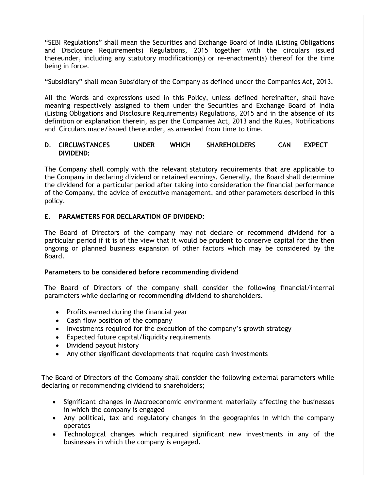"SEBI Regulations" shall mean the Securities and Exchange Board of India (Listing Obligations and Disclosure Requirements) Regulations, 2015 together with the circulars issued thereunder, including any statutory modification(s) or re-enactment(s) thereof for the time being in force.

"Subsidiary" shall mean Subsidiary of the Company as defined under the Companies Act, 2013.

All the Words and expressions used in this Policy, unless defined hereinafter, shall have meaning respectively assigned to them under the Securities and Exchange Board of India (Listing Obligations and Disclosure Requirements) Regulations, 2015 and in the absence of its definition or explanation therein, as per the Companies Act, 2013 and the Rules, Notifications and Circulars made/issued thereunder, as amended from time to time.

### **D. CIRCUMSTANCES UNDER WHICH SHAREHOLDERS CAN EXPECT DIVIDEND:**

The Company shall comply with the relevant statutory requirements that are applicable to the Company in declaring dividend or retained earnings. Generally, the Board shall determine the dividend for a particular period after taking into consideration the financial performance of the Company, the advice of executive management, and other parameters described in this policy.

#### **E. PARAMETERS FOR DECLARATION OF DIVIDEND:**

The Board of Directors of the company may not declare or recommend dividend for a particular period if it is of the view that it would be prudent to conserve capital for the then ongoing or planned business expansion of other factors which may be considered by the Board.

#### **Parameters to be considered before recommending dividend**

The Board of Directors of the company shall consider the following financial/internal parameters while declaring or recommending dividend to shareholders.

- Profits earned during the financial year
- Cash flow position of the company
- Investments required for the execution of the company's growth strategy
- Expected future capital/liquidity requirements
- Dividend payout history
- Any other significant developments that require cash investments

The Board of Directors of the Company shall consider the following external parameters while declaring or recommending dividend to shareholders;

- Significant changes in Macroeconomic environment materially affecting the businesses in which the company is engaged
- Any political, tax and regulatory changes in the geographies in which the company operates
- Technological changes which required significant new investments in any of the businesses in which the company is engaged.